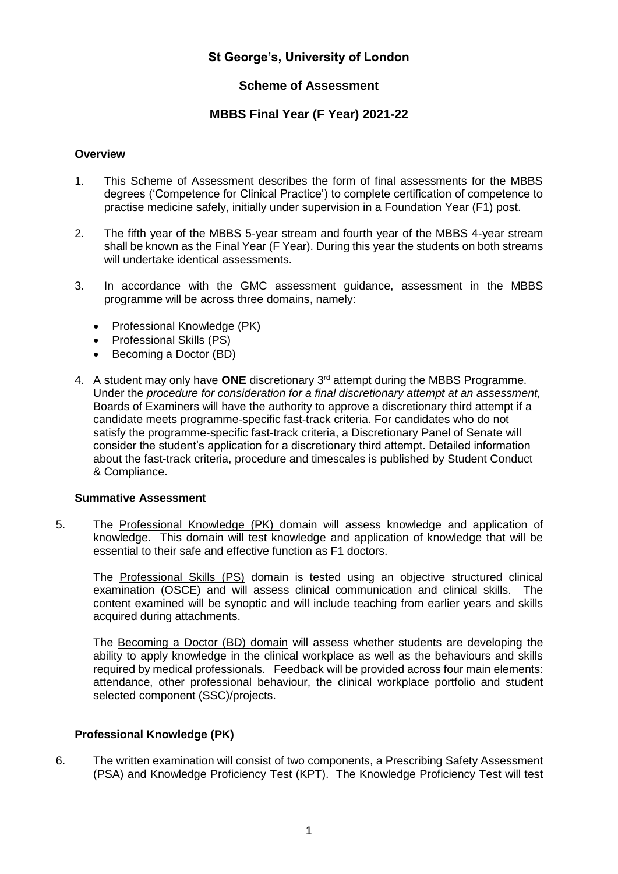# **St George's, University of London**

# **Scheme of Assessment**

# **MBBS Final Year (F Year) 2021-22**

#### **Overview**

- 1. This Scheme of Assessment describes the form of final assessments for the MBBS degrees ('Competence for Clinical Practice') to complete certification of competence to practise medicine safely, initially under supervision in a Foundation Year (F1) post.
- 2. The fifth year of the MBBS 5-year stream and fourth year of the MBBS 4-year stream shall be known as the Final Year (F Year). During this year the students on both streams will undertake identical assessments.
- 3. In accordance with the GMC assessment guidance, assessment in the MBBS programme will be across three domains, namely:
	- Professional Knowledge (PK)
	- Professional Skills (PS)
	- Becoming a Doctor (BD)
- 4. A student may only have **ONE** discretionary 3rd attempt during the MBBS Programme. Under the *procedure for consideration for a final discretionary attempt at an assessment,*  Boards of Examiners will have the authority to approve a discretionary third attempt if a candidate meets programme-specific fast-track criteria. For candidates who do not satisfy the programme-specific fast-track criteria, a Discretionary Panel of Senate will consider the student's application for a discretionary third attempt. Detailed information about the fast-track criteria, procedure and timescales is published by Student Conduct & Compliance.

### **Summative Assessment**

5. The Professional Knowledge (PK) domain will assess knowledge and application of knowledge. This domain will test knowledge and application of knowledge that will be essential to their safe and effective function as F1 doctors.

The Professional Skills (PS) domain is tested using an objective structured clinical examination (OSCE) and will assess clinical communication and clinical skills. The content examined will be synoptic and will include teaching from earlier years and skills acquired during attachments.

The Becoming a Doctor (BD) domain will assess whether students are developing the ability to apply knowledge in the clinical workplace as well as the behaviours and skills required by medical professionals. Feedback will be provided across four main elements: attendance, other professional behaviour, the clinical workplace portfolio and student selected component (SSC)/projects.

### **Professional Knowledge (PK)**

6. The written examination will consist of two components, a Prescribing Safety Assessment (PSA) and Knowledge Proficiency Test (KPT). The Knowledge Proficiency Test will test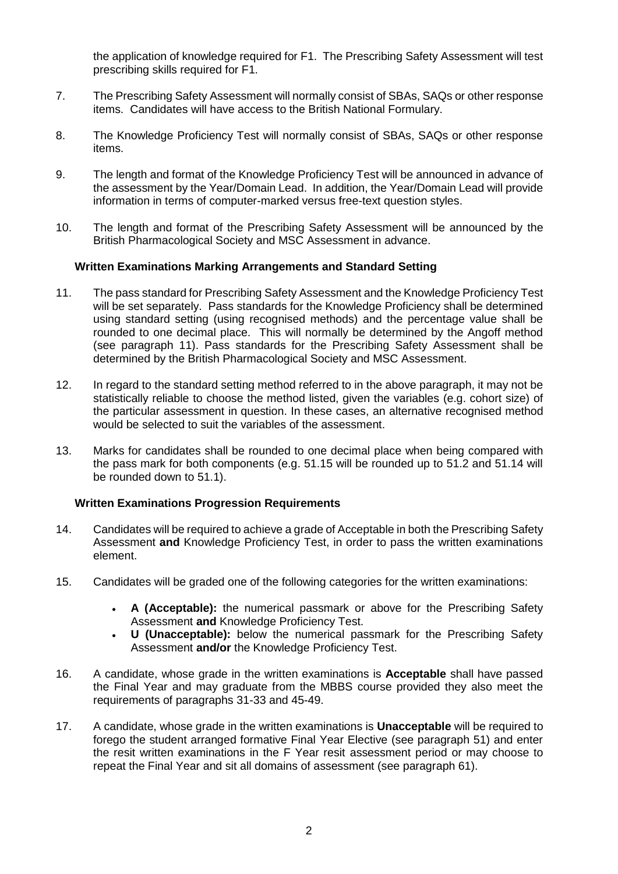the application of knowledge required for F1. The Prescribing Safety Assessment will test prescribing skills required for F1.

- 7. The Prescribing Safety Assessment will normally consist of SBAs, SAQs or other response items. Candidates will have access to the British National Formulary.
- 8. The Knowledge Proficiency Test will normally consist of SBAs, SAQs or other response items.
- 9. The length and format of the Knowledge Proficiency Test will be announced in advance of the assessment by the Year/Domain Lead. In addition, the Year/Domain Lead will provide information in terms of computer-marked versus free-text question styles.
- 10. The length and format of the Prescribing Safety Assessment will be announced by the British Pharmacological Society and MSC Assessment in advance.

#### **Written Examinations Marking Arrangements and Standard Setting**

- 11. The pass standard for Prescribing Safety Assessment and the Knowledge Proficiency Test will be set separately. Pass standards for the Knowledge Proficiency shall be determined using standard setting (using recognised methods) and the percentage value shall be rounded to one decimal place. This will normally be determined by the Angoff method (see paragraph 11). Pass standards for the Prescribing Safety Assessment shall be determined by the British Pharmacological Society and MSC Assessment.
- 12. In regard to the standard setting method referred to in the above paragraph, it may not be statistically reliable to choose the method listed, given the variables (e.g. cohort size) of the particular assessment in question. In these cases, an alternative recognised method would be selected to suit the variables of the assessment.
- 13. Marks for candidates shall be rounded to one decimal place when being compared with the pass mark for both components (e.g. 51.15 will be rounded up to 51.2 and 51.14 will be rounded down to 51.1).

### **Written Examinations Progression Requirements**

- 14. Candidates will be required to achieve a grade of Acceptable in both the Prescribing Safety Assessment **and** Knowledge Proficiency Test, in order to pass the written examinations element.
- 15. Candidates will be graded one of the following categories for the written examinations:
	- **A (Acceptable):** the numerical passmark or above for the Prescribing Safety Assessment **and** Knowledge Proficiency Test.
	- **U (Unacceptable):** below the numerical passmark for the Prescribing Safety Assessment **and/or** the Knowledge Proficiency Test.
- 16. A candidate, whose grade in the written examinations is **Acceptable** shall have passed the Final Year and may graduate from the MBBS course provided they also meet the requirements of paragraphs 31-33 and 45-49.
- 17. A candidate, whose grade in the written examinations is **Unacceptable** will be required to forego the student arranged formative Final Year Elective (see paragraph 51) and enter the resit written examinations in the F Year resit assessment period or may choose to repeat the Final Year and sit all domains of assessment (see paragraph 61).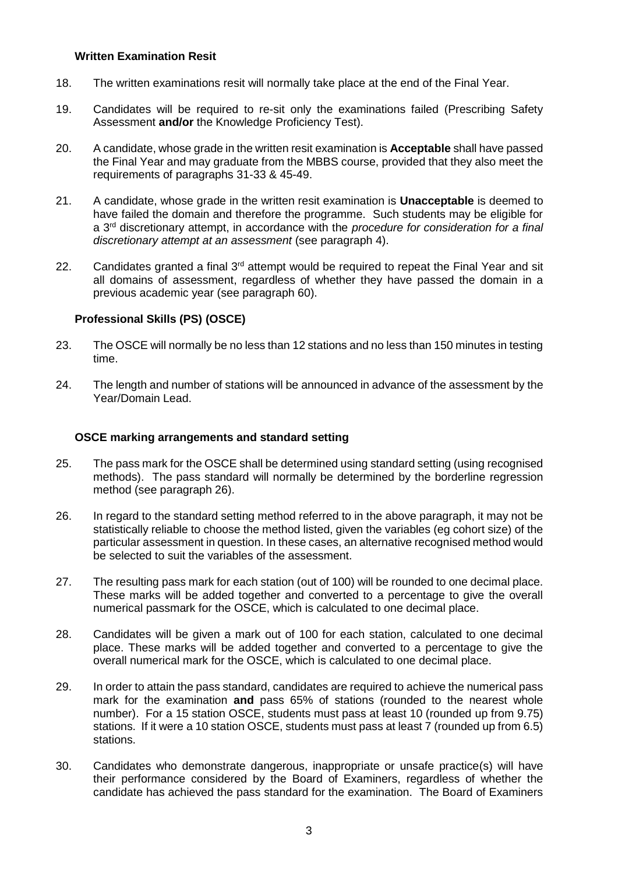#### **Written Examination Resit**

- 18. The written examinations resit will normally take place at the end of the Final Year.
- 19. Candidates will be required to re-sit only the examinations failed (Prescribing Safety Assessment **and/or** the Knowledge Proficiency Test).
- 20. A candidate, whose grade in the written resit examination is **Acceptable** shall have passed the Final Year and may graduate from the MBBS course, provided that they also meet the requirements of paragraphs 31-33 & 45-49.
- 21. A candidate, whose grade in the written resit examination is **Unacceptable** is deemed to have failed the domain and therefore the programme. Such students may be eligible for a 3rd discretionary attempt, in accordance with the *procedure for consideration for a final discretionary attempt at an assessment* (see paragraph 4).
- 22. Candidates granted a final  $3<sup>rd</sup>$  attempt would be required to repeat the Final Year and sit all domains of assessment, regardless of whether they have passed the domain in a previous academic year (see paragraph 60).

## **Professional Skills (PS) (OSCE)**

- 23. The OSCE will normally be no less than 12 stations and no less than 150 minutes in testing time.
- 24. The length and number of stations will be announced in advance of the assessment by the Year/Domain Lead.

### **OSCE marking arrangements and standard setting**

- 25. The pass mark for the OSCE shall be determined using standard setting (using recognised methods). The pass standard will normally be determined by the borderline regression method (see paragraph 26).
- 26. In regard to the standard setting method referred to in the above paragraph, it may not be statistically reliable to choose the method listed, given the variables (eg cohort size) of the particular assessment in question. In these cases, an alternative recognised method would be selected to suit the variables of the assessment.
- 27. The resulting pass mark for each station (out of 100) will be rounded to one decimal place. These marks will be added together and converted to a percentage to give the overall numerical passmark for the OSCE, which is calculated to one decimal place.
- 28. Candidates will be given a mark out of 100 for each station, calculated to one decimal place. These marks will be added together and converted to a percentage to give the overall numerical mark for the OSCE, which is calculated to one decimal place.
- 29. In order to attain the pass standard, candidates are required to achieve the numerical pass mark for the examination **and** pass 65% of stations (rounded to the nearest whole number). For a 15 station OSCE, students must pass at least 10 (rounded up from 9.75) stations. If it were a 10 station OSCE, students must pass at least 7 (rounded up from 6.5) stations.
- 30. Candidates who demonstrate dangerous, inappropriate or unsafe practice(s) will have their performance considered by the Board of Examiners, regardless of whether the candidate has achieved the pass standard for the examination. The Board of Examiners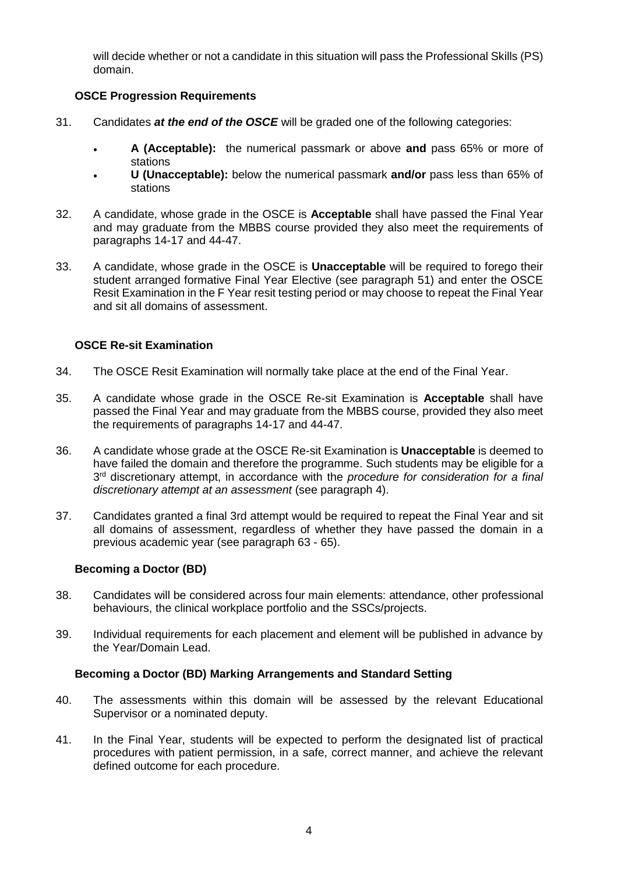will decide whether or not a candidate in this situation will pass the Professional Skills (PS) domain.

## **OSCE Progression Requirements**

- 31. Candidates *at the end of the OSCE* will be graded one of the following categories:
	- **A (Acceptable):** the numerical passmark or above **and** pass 65% or more of stations
	- **U (Unacceptable):** below the numerical passmark **and/or** pass less than 65% of stations
- 32. A candidate, whose grade in the OSCE is **Acceptable** shall have passed the Final Year and may graduate from the MBBS course provided they also meet the requirements of paragraphs 14-17 and 44-47.
- 33. A candidate, whose grade in the OSCE is **Unacceptable** will be required to forego their student arranged formative Final Year Elective (see paragraph 51) and enter the OSCE Resit Examination in the F Year resit testing period or may choose to repeat the Final Year and sit all domains of assessment.

## **OSCE Re-sit Examination**

- 34. The OSCE Resit Examination will normally take place at the end of the Final Year.
- 35. A candidate whose grade in the OSCE Re-sit Examination is **Acceptable** shall have passed the Final Year and may graduate from the MBBS course, provided they also meet the requirements of paragraphs 14-17 and 44-47.
- 36. A candidate whose grade at the OSCE Re-sit Examination is **Unacceptable** is deemed to have failed the domain and therefore the programme. Such students may be eligible for a 3 rd discretionary attempt, in accordance with the *procedure for consideration for a final discretionary attempt at an assessment* (see paragraph 4).
- 37. Candidates granted a final 3rd attempt would be required to repeat the Final Year and sit all domains of assessment, regardless of whether they have passed the domain in a previous academic year (see paragraph 63 - 65).

### **Becoming a Doctor (BD)**

- 38. Candidates will be considered across four main elements: attendance, other professional behaviours, the clinical workplace portfolio and the SSCs/projects.
- 39. Individual requirements for each placement and element will be published in advance by the Year/Domain Lead.

### **Becoming a Doctor (BD) Marking Arrangements and Standard Setting**

- 40. The assessments within this domain will be assessed by the relevant Educational Supervisor or a nominated deputy.
- 41. In the Final Year, students will be expected to perform the designated list of practical procedures with patient permission, in a safe, correct manner, and achieve the relevant defined outcome for each procedure.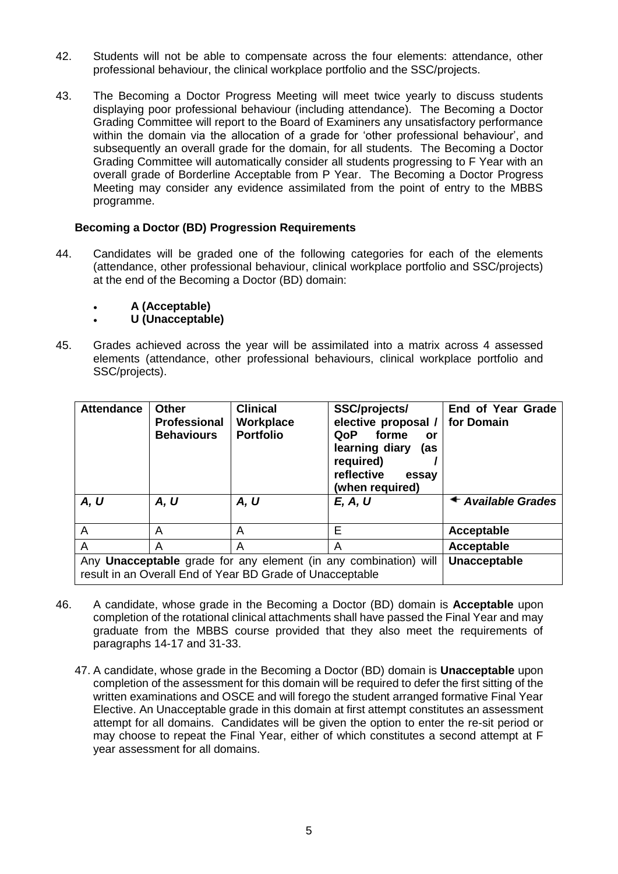- 42. Students will not be able to compensate across the four elements: attendance, other professional behaviour, the clinical workplace portfolio and the SSC/projects.
- 43. The Becoming a Doctor Progress Meeting will meet twice yearly to discuss students displaying poor professional behaviour (including attendance). The Becoming a Doctor Grading Committee will report to the Board of Examiners any unsatisfactory performance within the domain via the allocation of a grade for 'other professional behaviour', and subsequently an overall grade for the domain, for all students. The Becoming a Doctor Grading Committee will automatically consider all students progressing to F Year with an overall grade of Borderline Acceptable from P Year. The Becoming a Doctor Progress Meeting may consider any evidence assimilated from the point of entry to the MBBS programme.

### **Becoming a Doctor (BD) Progression Requirements**

- 44. Candidates will be graded one of the following categories for each of the elements (attendance, other professional behaviour, clinical workplace portfolio and SSC/projects) at the end of the Becoming a Doctor (BD) domain:
	- **A (Acceptable)**
	- **U (Unacceptable)**
- 45. Grades achieved across the year will be assimilated into a matrix across 4 assessed elements (attendance, other professional behaviours, clinical workplace portfolio and SSC/projects).

| <b>Attendance</b>                                                                                                                    | <b>Other</b><br>Professional<br><b>Behaviours</b> | <b>Clinical</b><br>Workplace<br><b>Portfolio</b> | SSC/projects/<br>elective proposal /<br>forme<br>QoP<br>or<br>learning diary<br>(as<br>required)<br>reflective<br>essav<br>(when required) | End of Year Grade<br>for Domain |
|--------------------------------------------------------------------------------------------------------------------------------------|---------------------------------------------------|--------------------------------------------------|--------------------------------------------------------------------------------------------------------------------------------------------|---------------------------------|
| A, U                                                                                                                                 | A, U                                              | A, U                                             | E, A, U                                                                                                                                    | ← Available Grades              |
| A                                                                                                                                    | A                                                 | A                                                | Е                                                                                                                                          | Acceptable                      |
| A                                                                                                                                    | A                                                 | A                                                | A                                                                                                                                          | Acceptable                      |
| Any <b>Unacceptable</b> grade for any element (in any combination) will<br>result in an Overall End of Year BD Grade of Unacceptable | Unacceptable                                      |                                                  |                                                                                                                                            |                                 |

- 46. A candidate, whose grade in the Becoming a Doctor (BD) domain is **Acceptable** upon completion of the rotational clinical attachments shall have passed the Final Year and may graduate from the MBBS course provided that they also meet the requirements of paragraphs 14-17 and 31-33.
	- 47. A candidate, whose grade in the Becoming a Doctor (BD) domain is **Unacceptable** upon completion of the assessment for this domain will be required to defer the first sitting of the written examinations and OSCE and will forego the student arranged formative Final Year Elective. An Unacceptable grade in this domain at first attempt constitutes an assessment attempt for all domains. Candidates will be given the option to enter the re-sit period or may choose to repeat the Final Year, either of which constitutes a second attempt at F year assessment for all domains.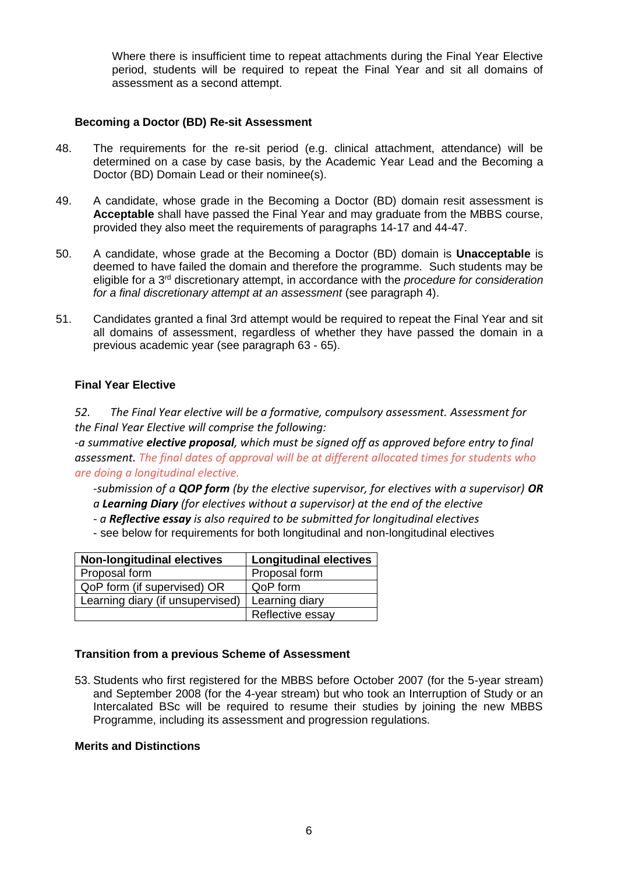Where there is insufficient time to repeat attachments during the Final Year Elective period, students will be required to repeat the Final Year and sit all domains of assessment as a second attempt.

### **Becoming a Doctor (BD) Re-sit Assessment**

- 48. The requirements for the re-sit period (e.g. clinical attachment, attendance) will be determined on a case by case basis, by the Academic Year Lead and the Becoming a Doctor (BD) Domain Lead or their nominee(s).
- 49. A candidate, whose grade in the Becoming a Doctor (BD) domain resit assessment is **Acceptable** shall have passed the Final Year and may graduate from the MBBS course, provided they also meet the requirements of paragraphs 14-17 and 44-47.
- 50. A candidate, whose grade at the Becoming a Doctor (BD) domain is **Unacceptable** is deemed to have failed the domain and therefore the programme. Such students may be eligible for a 3rd discretionary attempt, in accordance with the *procedure for consideration for a final discretionary attempt at an assessment* (see paragraph 4).
- 51. Candidates granted a final 3rd attempt would be required to repeat the Final Year and sit all domains of assessment, regardless of whether they have passed the domain in a previous academic year (see paragraph 63 - 65).

#### **Final Year Elective**

*52. The Final Year elective will be a formative, compulsory assessment. Assessment for the Final Year Elective will comprise the following:*

*-a summative elective proposal, which must be signed off as approved before entry to final assessment. The final dates of approval will be at different allocated times for students who are doing a longitudinal elective.*

- *-submission of a QOP form (by the elective supervisor, for electives with a supervisor) OR a Learning Diary (for electives without a supervisor) at the end of the elective*
- *- a Reflective essay is also required to be submitted for longitudinal electives*
- see below for requirements for both longitudinal and non-longitudinal electives

| <b>Non-longitudinal electives</b> | <b>Longitudinal electives</b> |  |
|-----------------------------------|-------------------------------|--|
| Proposal form                     | Proposal form                 |  |
| QoP form (if supervised) OR       | QoP form                      |  |
| Learning diary (if unsupervised)  | Learning diary                |  |
|                                   | Reflective essay              |  |

#### **Transition from a previous Scheme of Assessment**

53. Students who first registered for the MBBS before October 2007 (for the 5-year stream) and September 2008 (for the 4-year stream) but who took an Interruption of Study or an Intercalated BSc will be required to resume their studies by joining the new MBBS Programme, including its assessment and progression regulations.

#### **Merits and Distinctions**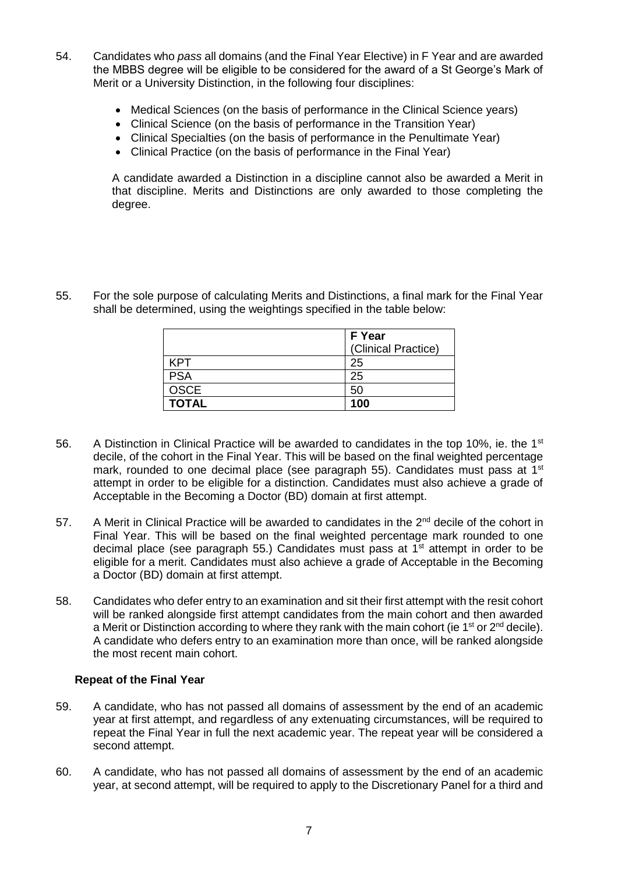- 54. Candidates who *pass* all domains (and the Final Year Elective) in F Year and are awarded the MBBS degree will be eligible to be considered for the award of a St George's Mark of Merit or a University Distinction, in the following four disciplines:
	- Medical Sciences (on the basis of performance in the Clinical Science years)
	- Clinical Science (on the basis of performance in the Transition Year)
	- Clinical Specialties (on the basis of performance in the Penultimate Year)
	- Clinical Practice (on the basis of performance in the Final Year)

A candidate awarded a Distinction in a discipline cannot also be awarded a Merit in that discipline. Merits and Distinctions are only awarded to those completing the degree.

55. For the sole purpose of calculating Merits and Distinctions, a final mark for the Final Year shall be determined, using the weightings specified in the table below:

|              | <b>F</b> Year       |
|--------------|---------------------|
|              | (Clinical Practice) |
|              | 25                  |
| <b>PSA</b>   | 25                  |
| <b>OSCE</b>  | 50                  |
| <b>TOTAL</b> | 100                 |

- 56. A Distinction in Clinical Practice will be awarded to candidates in the top 10%, ie. the 1<sup>st</sup> decile, of the cohort in the Final Year. This will be based on the final weighted percentage mark, rounded to one decimal place (see paragraph 55). Candidates must pass at 1<sup>st</sup> attempt in order to be eligible for a distinction. Candidates must also achieve a grade of Acceptable in the Becoming a Doctor (BD) domain at first attempt.
- 57. A Merit in Clinical Practice will be awarded to candidates in the  $2^{nd}$  decile of the cohort in Final Year. This will be based on the final weighted percentage mark rounded to one decimal place (see paragraph 55.) Candidates must pass at 1<sup>st</sup> attempt in order to be eligible for a merit. Candidates must also achieve a grade of Acceptable in the Becoming a Doctor (BD) domain at first attempt.
- 58. Candidates who defer entry to an examination and sit their first attempt with the resit cohort will be ranked alongside first attempt candidates from the main cohort and then awarded a Merit or Distinction according to where they rank with the main cohort (ie 1<sup>st</sup> or  $2^{nd}$  decile). A candidate who defers entry to an examination more than once, will be ranked alongside the most recent main cohort.

### **Repeat of the Final Year**

- 59. A candidate, who has not passed all domains of assessment by the end of an academic year at first attempt, and regardless of any extenuating circumstances, will be required to repeat the Final Year in full the next academic year. The repeat year will be considered a second attempt.
- 60. A candidate, who has not passed all domains of assessment by the end of an academic year, at second attempt, will be required to apply to the Discretionary Panel for a third and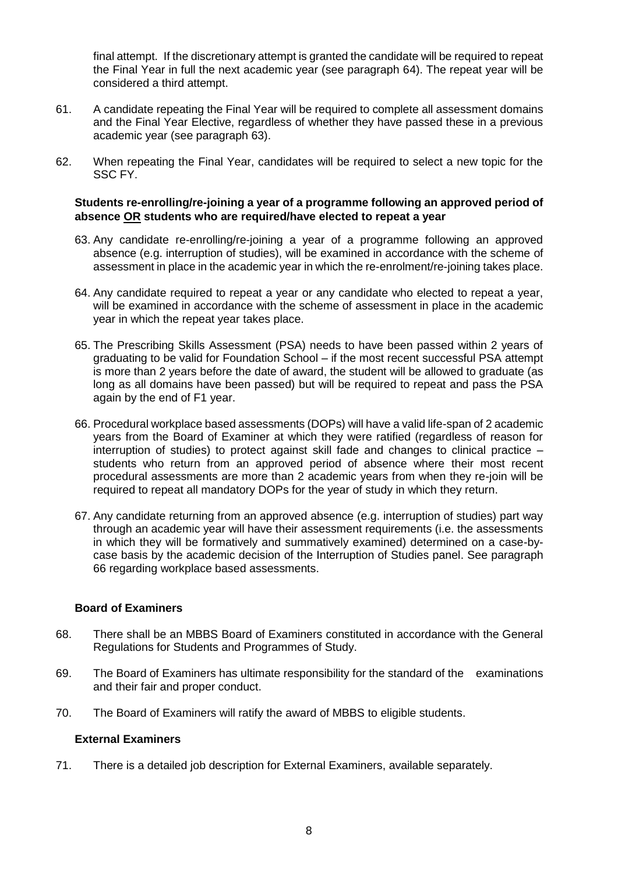final attempt. If the discretionary attempt is granted the candidate will be required to repeat the Final Year in full the next academic year (see paragraph 64). The repeat year will be considered a third attempt.

- 61. A candidate repeating the Final Year will be required to complete all assessment domains and the Final Year Elective, regardless of whether they have passed these in a previous academic year (see paragraph 63).
- 62. When repeating the Final Year, candidates will be required to select a new topic for the SSC FY.

### **Students re-enrolling/re-joining a year of a programme following an approved period of absence OR students who are required/have elected to repeat a year**

- 63. Any candidate re-enrolling/re-joining a year of a programme following an approved absence (e.g. interruption of studies), will be examined in accordance with the scheme of assessment in place in the academic year in which the re-enrolment/re-joining takes place.
- 64. Any candidate required to repeat a year or any candidate who elected to repeat a year, will be examined in accordance with the scheme of assessment in place in the academic year in which the repeat year takes place.
- 65. The Prescribing Skills Assessment (PSA) needs to have been passed within 2 years of graduating to be valid for Foundation School – if the most recent successful PSA attempt is more than 2 years before the date of award, the student will be allowed to graduate (as long as all domains have been passed) but will be required to repeat and pass the PSA again by the end of F1 year.
- 66. Procedural workplace based assessments (DOPs) will have a valid life-span of 2 academic years from the Board of Examiner at which they were ratified (regardless of reason for interruption of studies) to protect against skill fade and changes to clinical practice – students who return from an approved period of absence where their most recent procedural assessments are more than 2 academic years from when they re-join will be required to repeat all mandatory DOPs for the year of study in which they return.
- 67. Any candidate returning from an approved absence (e.g. interruption of studies) part way through an academic year will have their assessment requirements (i.e. the assessments in which they will be formatively and summatively examined) determined on a case-bycase basis by the academic decision of the Interruption of Studies panel. See paragraph 66 regarding workplace based assessments.

### **Board of Examiners**

- 68. There shall be an MBBS Board of Examiners constituted in accordance with the General Regulations for Students and Programmes of Study.
- 69. The Board of Examiners has ultimate responsibility for the standard of the examinations and their fair and proper conduct.
- 70. The Board of Examiners will ratify the award of MBBS to eligible students.

#### **External Examiners**

71. There is a detailed job description for External Examiners, available separately.